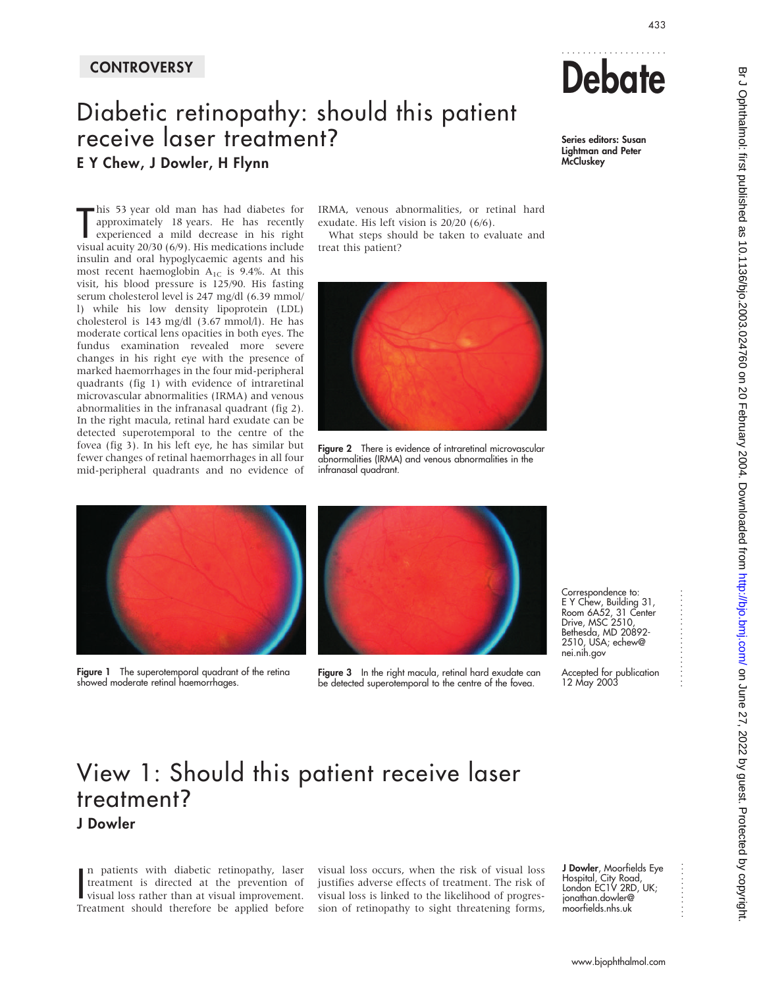### Diabetic retinopathy: should this patient receive laser treatment? E Y Chew, J Dowler, H Flynn

# **Debate**

....................

Series editors: Susan Lightman and Peter **McCluskey** 

This 53 year old man has had diabetes for<br>approximately 18 years. He has recently<br>experienced a mild decrease in his right<br>visual acuity 20/30 (6/9). His medications include his 53 year old man has had diabetes for approximately 18 years. He has recently experienced a mild decrease in his right insulin and oral hypoglycaemic agents and his most recent haemoglobin  $A_{1C}$  is 9.4%. At this visit, his blood pressure is 125/90. His fasting serum cholesterol level is 247 mg/dl (6.39 mmol/ l) while his low density lipoprotein (LDL) cholesterol is 143 mg/dl (3.67 mmol/l). He has moderate cortical lens opacities in both eyes. The fundus examination revealed more severe changes in his right eye with the presence of marked haemorrhages in the four mid-peripheral quadrants (fig 1) with evidence of intraretinal microvascular abnormalities (IRMA) and venous abnormalities in the infranasal quadrant (fig 2). In the right macula, retinal hard exudate can be detected superotemporal to the centre of the fovea (fig 3). In his left eye, he has similar but fewer changes of retinal haemorrhages in all four mid-peripheral quadrants and no evidence of

IRMA, venous abnormalities, or retinal hard exudate. His left vision is 20/20 (6/6).

What steps should be taken to evaluate and treat this patient?



Figure 2 There is evidence of intraretinal microvascular abnormalities (IRMA) and venous abnormalities in the infranasal quadrant.



Figure 1 The superotemporal quadrant of the retina showed moderate retinal haemorrhages.



Figure 3 In the right macula, retinal hard exudate can be detected superotemporal to the centre of the fovea.

Correspondence to: E Y Chew, Building 31, Room 6A52, 31 Center Drive, MSC 2510, Bethesda, MD 20892- 2510, USA; echew@ nei.nih.gov

Accepted for publication 12 May 2003

### View 1: Should this patient receive laser treatment? J Dowler

In patients with diabetic retinopathy, laser<br>treatment is directed at the prevention of<br>visual loss rather than at visual improvement.<br>Treatment should therefore be applied before n patients with diabetic retinopathy, laser treatment is directed at the prevention of visual loss rather than at visual improvement.

visual loss occurs, when the risk of visual loss justifies adverse effects of treatment. The risk of visual loss is linked to the likelihood of progression of retinopathy to sight threatening forms,

J Dowler, Moorfields Eye Hospital, City Road, London EC1V 2RD, UK; jonathan.dowler@ moorfields.nhs.uk

. . . . . . . . . . .

. . . . . . . . . . . . . . . . . . . . .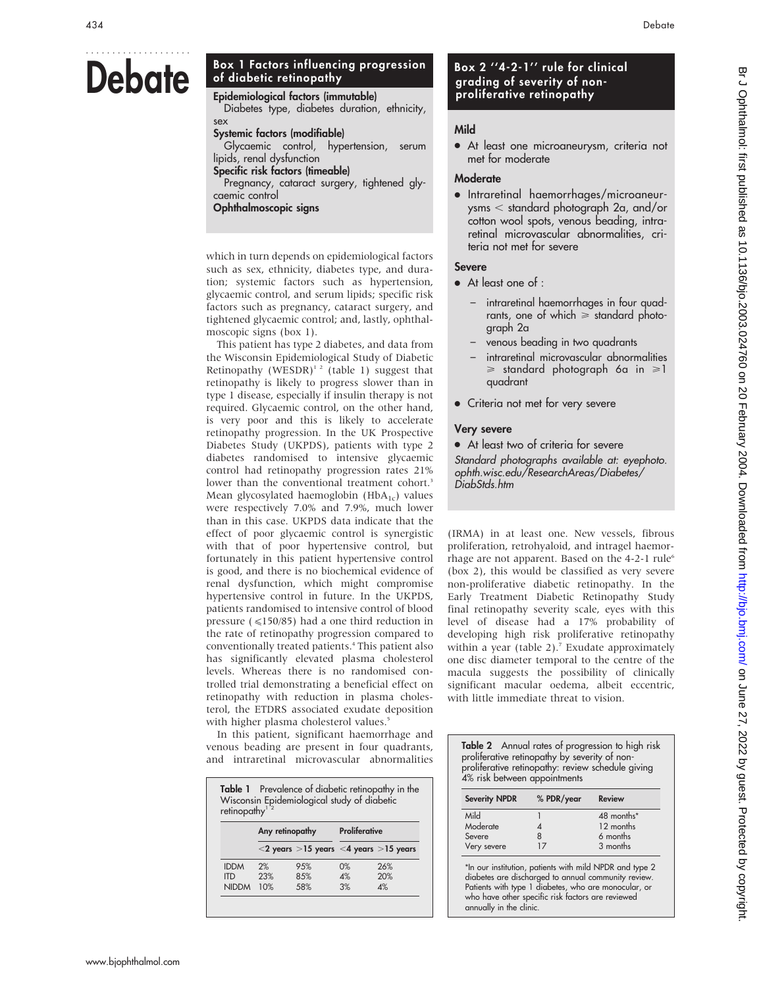# **Debate**

....................

### Box 1 Factors influencing progression of diabetic retinopathy

#### Epidemiological factors (immutable)

Diabetes type, diabetes duration, ethnicity, sex

#### Systemic factors (modifiable)

Glycaemic control, hypertension, serum lipids, renal dysfunction

#### Specific risk factors (timeable)

Pregnancy, cataract surgery, tightened glycaemic control

Ophthalmoscopic signs

which in turn depends on epidemiological factors such as sex, ethnicity, diabetes type, and duration; systemic factors such as hypertension, glycaemic control, and serum lipids; specific risk factors such as pregnancy, cataract surgery, and tightened glycaemic control; and, lastly, ophthalmoscopic signs (box 1).

This patient has type 2 diabetes, and data from the Wisconsin Epidemiological Study of Diabetic Retinopathy (WESDR)<sup>1-2</sup> (table 1) suggest that retinopathy is likely to progress slower than in type 1 disease, especially if insulin therapy is not required. Glycaemic control, on the other hand, is very poor and this is likely to accelerate retinopathy progression. In the UK Prospective Diabetes Study (UKPDS), patients with type 2 diabetes randomised to intensive glycaemic control had retinopathy progression rates 21% lower than the conventional treatment cohort.<sup>3</sup> Mean glycosylated haemoglobin ( $HbA_{1c}$ ) values were respectively 7.0% and 7.9%, much lower than in this case. UKPDS data indicate that the effect of poor glycaemic control is synergistic with that of poor hypertensive control, but fortunately in this patient hypertensive control is good, and there is no biochemical evidence of renal dysfunction, which might compromise hypertensive control in future. In the UKPDS, patients randomised to intensive control of blood pressure ( $\leq 150/85$ ) had a one third reduction in the rate of retinopathy progression compared to conventionally treated patients.4 This patient also has significantly elevated plasma cholesterol levels. Whereas there is no randomised controlled trial demonstrating a beneficial effect on retinopathy with reduction in plasma cholesterol, the ETDRS associated exudate deposition with higher plasma cholesterol values.<sup>5</sup>

In this patient, significant haemorrhage and venous beading are present in four quadrants, and intraretinal microvascular abnormalities

| Table 1 Prevalence of diabetic retinopathy in the<br>Wisconsin Epidemiological study of diabetic<br>retinopathy <sup>12</sup> |                 |                                                   |               |     |  |
|-------------------------------------------------------------------------------------------------------------------------------|-----------------|---------------------------------------------------|---------------|-----|--|
|                                                                                                                               | Any retinopathy |                                                   | Proliferative |     |  |
|                                                                                                                               |                 | $<$ 2 years $>$ 15 years $<$ 4 years $>$ 15 years |               |     |  |
| <b>IDDM</b>                                                                                                                   | 2%              | 95%                                               | 0%            | 26% |  |
| <b>ITD</b>                                                                                                                    | 23%             | 85%                                               | 4%            | 20% |  |
| <b>NIDDM</b>                                                                                                                  | 10%             | 58%                                               | 3%            | 4%  |  |

### Box 2 ''4-2-1'' rule for clinical grading of severity of nonproliferative retinopathy

#### Mild

 $\bullet$  At least one microaneurysm, criteria not met for moderate

#### **Moderate**

• Intraretinal haemorrhages/microaneurysms  $<$  standard photograph 2a, and/or cotton wool spots, venous beading, intraretinal microvascular abnormalities, criteria not met for severe

#### Severe

- $\bullet$  At least one of :
	- intraretinal haemorrhages in four quadrants, one of which  $\ge$  standard photograph 2a
	- venous beading in two quadrants
	- intraretinal microvascular abnormalities  $\ge$  standard photograph 6a in  $\ge$ 1 quadrant
- Criteria not met for very severe

#### Very severe

• At least two of criteria for severe Standard photographs available at: eyephoto. ophth.wisc.edu/ResearchAreas/Diabetes/ DiabStds.htm

(IRMA) in at least one. New vessels, fibrous proliferation, retrohyaloid, and intragel haemorrhage are not apparent. Based on the 4-2-1 rule<sup>6</sup> (box 2), this would be classified as very severe non-proliferative diabetic retinopathy. In the Early Treatment Diabetic Retinopathy Study final retinopathy severity scale, eyes with this level of disease had a 17% probability of developing high risk proliferative retinopathy within a year (table  $2$ ).<sup>7</sup> Exudate approximately one disc diameter temporal to the centre of the macula suggests the possibility of clinically significant macular oedema, albeit eccentric, with little immediate threat to vision.

Table 2 Annual rates of progression to high risk proliferative retinopathy by severity of nonproliferative retinopathy: review schedule giving 4% risk between appointments

| <b>Severity NPDR</b> | % PDR/year | <b>Review</b> |
|----------------------|------------|---------------|
| Mild                 |            | 48 months*    |
| Moderate             |            | 12 months     |
| Severe               | 8          | 6 months      |
| Very severe          | 17         | 3 months      |

\*In our institution, patients with mild NPDR and type 2 diabetes are discharged to annual community review. Patients with type 1 diabetes, who are monocular, or who have other specific risk factors are reviewed annually in the clinic.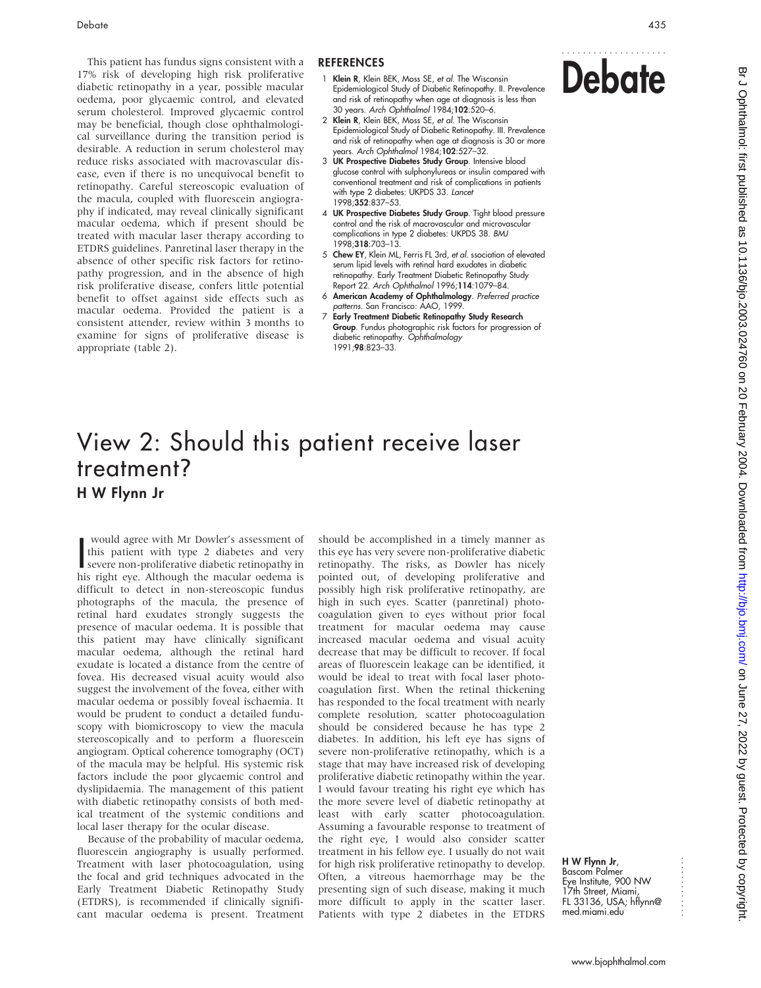This patient has fundus signs consistent with a 17% risk of developing high risk proliferative diabetic retinopathy in a year, possible macular oedema, poor glycaemic control, and elevated serum cholesterol. Improved glycaemic control may be beneficial, though close ophthalmological surveillance during the transition period is desirable. A reduction in serum cholesterol may reduce risks associated with macrovascular disease, even if there is no unequivocal benefit to retinopathy. Careful stereoscopic evaluation of the macula, coupled with fluorescein angiography if indicated, may reveal clinically significant macular oedema, which if present should be treated with macular laser therapy according to ETDRS guidelines. Panretinal laser therapy in the absence of other specific risk factors for retinopathy progression, and in the absence of high risk proliferative disease, confers little potential benefit to offset against side effects such as macular oedema. Provided the patient is a consistent attender, review within 3 months to examine for signs of proliferative disease is appropriate (table 2).

#### **REFERENCES**

- 1 Klein R, Klein BEK, Moss SE, et al. The Wisconsin Epidemiological Study of Diabetic Retinopathy. II. Prevalence and risk of retinopathy when age at diagnosis is less than 30 years. Arch Ophthalmol 1984;102:520–6.
- 2 Klein R, Klein BEK, Moss SE, et al. The Wisconsin Epidemiological Study of Diabetic Retinopathy. III. Prevalence and risk of retinopathy when age at diagnosis is 30 or more years. Arch Ophthalmol 1984;102:527–32.
- 3 UK Prospective Diabetes Study Group. Intensive blood glucose control with sulphonylureas or insulin compared with conventional treatment and risk of complications in patients with type 2 diabetes: UKPDS 33. Lancet 1998;352:837–53.
- 4 UK Prospective Diabetes Study Group. Tight blood pressure control and the risk of macrovascular and microvascular complications in type 2 diabetes: UKPDS 38. BMJ 1998;318:703–13.
- 5 Chew EY, Klein ML, Ferris FL 3rd, et al. ssociation of elevated serum lipid levels with retinal hard exudates in diabetic retinopathy. Early Treatment Diabetic Retinopathy Study Report 22. Arch Ophthalmol 1996;114:1079–84.
- 6 American Academy of Ophthalmology. Preferred practice patterns. San Francisco: AAO, 1999.
- 7 Early Treatment Diabetic Retinopathy Study Research Group. Fundus photographic risk factors for progression of diabetic retinopathy. Ophthalmology 1991;98:823–33.

## View 2: Should this patient receive laser treatment? H W Flynn Jr

would agree with Mr Dowler's assessment of<br>this patient with type 2 diabetes and very<br>severe non-proliferative diabetic retinopathy in<br>his right our Although the may be would agree with Mr Dowler's assessment of this patient with type 2 diabetes and very his right eye. Although the macular oedema is difficult to detect in non-stereoscopic fundus photographs of the macula, the presence of retinal hard exudates strongly suggests the presence of macular oedema. It is possible that this patient may have clinically significant macular oedema, although the retinal hard exudate is located a distance from the centre of fovea. His decreased visual acuity would also suggest the involvement of the fovea, either with macular oedema or possibly foveal ischaemia. It would be prudent to conduct a detailed funduscopy with biomicroscopy to view the macula stereoscopically and to perform a fluorescein angiogram. Optical coherence tomography (OCT) of the macula may be helpful. His systemic risk factors include the poor glycaemic control and dyslipidaemia. The management of this patient with diabetic retinopathy consists of both medical treatment of the systemic conditions and local laser therapy for the ocular disease.

Because of the probability of macular oedema, fluorescein angiography is usually performed. Treatment with laser photocoagulation, using the focal and grid techniques advocated in the Early Treatment Diabetic Retinopathy Study (ETDRS), is recommended if clinically significant macular oedema is present. Treatment

should be accomplished in a timely manner as this eye has very severe non-proliferative diabetic retinopathy. The risks, as Dowler has nicely pointed out, of developing proliferative and possibly high risk proliferative retinopathy, are high in such eyes. Scatter (panretinal) photocoagulation given to eyes without prior focal treatment for macular oedema may cause increased macular oedema and visual acuity decrease that may be difficult to recover. If focal areas of fluorescein leakage can be identified, it would be ideal to treat with focal laser photocoagulation first. When the retinal thickening has responded to the focal treatment with nearly complete resolution, scatter photocoagulation should be considered because he has type 2 diabetes. In addition, his left eye has signs of severe non-proliferative retinopathy, which is a stage that may have increased risk of developing proliferative diabetic retinopathy within the year. I would favour treating his right eye which has the more severe level of diabetic retinopathy at least with early scatter photocoagulation. Assuming a favourable response to treatment of the right eye, I would also consider scatter treatment in his fellow eye. I usually do not wait for high risk proliferative retinopathy to develop. Often, a vitreous haemorrhage may be the presenting sign of such disease, making it much more difficult to apply in the scatter laser. Patients with type 2 diabetes in the ETDRS

. H W Flynn Jr, Bascom Palmer Eye Institute, 900 NW 17th Street, Miami, FL 33136, USA; hflynn@ med.miami.edu

. . . . . . . . . . .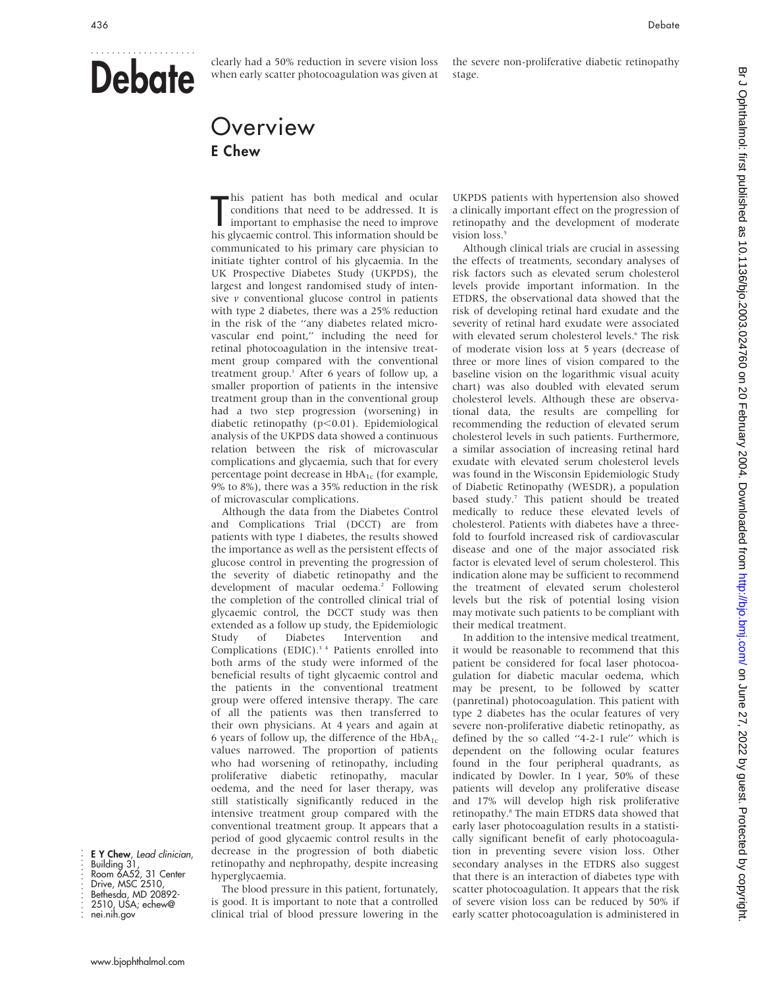## **Debate**

....................

clearly had a 50% reduction in severe vision loss when early scatter photocoagulation was given at the severe non-proliferative diabetic retinopathy stage.

## **Overview** E Chew

This patient has both medical and ocular<br>conditions that need to be addressed. It is<br>important to emphasise the need to improve<br>his glycaemic control. This information should be his patient has both medical and ocular conditions that need to be addressed. It is important to emphasise the need to improve communicated to his primary care physician to initiate tighter control of his glycaemia. In the UK Prospective Diabetes Study (UKPDS), the largest and longest randomised study of intensive  $v$  conventional glucose control in patients with type 2 diabetes, there was a 25% reduction in the risk of the ''any diabetes related microvascular end point,'' including the need for retinal photocoagulation in the intensive treatment group compared with the conventional treatment group.<sup>1</sup> After 6 years of follow up, a smaller proportion of patients in the intensive treatment group than in the conventional group had a two step progression (worsening) in diabetic retinopathy ( $p<0.01$ ). Epidemiological analysis of the UKPDS data showed a continuous relation between the risk of microvascular complications and glycaemia, such that for every percentage point decrease in  $HbA_{1c}$  (for example, 9% to 8%), there was a 35% reduction in the risk of microvascular complications.

Although the data from the Diabetes Control and Complications Trial (DCCT) are from patients with type 1 diabetes, the results showed the importance as well as the persistent effects of glucose control in preventing the progression of the severity of diabetic retinopathy and the development of macular oedema.<sup>2</sup> Following the completion of the controlled clinical trial of glycaemic control, the DCCT study was then extended as a follow up study, the Epidemiologic Study of Diabetes Intervention and Complications (EDIC).<sup>3 4</sup> Patients enrolled into both arms of the study were informed of the beneficial results of tight glycaemic control and the patients in the conventional treatment group were offered intensive therapy. The care of all the patients was then transferred to their own physicians. At 4 years and again at 6 years of follow up, the difference of the  $HbA_{1c}$ values narrowed. The proportion of patients who had worsening of retinopathy, including proliferative diabetic retinopathy, macular oedema, and the need for laser therapy, was still statistically significantly reduced in the intensive treatment group compared with the conventional treatment group. It appears that a period of good glycaemic control results in the decrease in the progression of both diabetic retinopathy and nephropathy, despite increasing hyperglycaemia.

The blood pressure in this patient, fortunately, is good. It is important to note that a controlled clinical trial of blood pressure lowering in the

UKPDS patients with hypertension also showed a clinically important effect on the progression of retinopathy and the development of moderate vision loss.

Although clinical trials are crucial in assessing the effects of treatments, secondary analyses of risk factors such as elevated serum cholesterol levels provide important information. In the ETDRS, the observational data showed that the risk of developing retinal hard exudate and the severity of retinal hard exudate were associated with elevated serum cholesterol levels.<sup>6</sup> The risk of moderate vision loss at 5 years (decrease of three or more lines of vision compared to the baseline vision on the logarithmic visual acuity chart) was also doubled with elevated serum cholesterol levels. Although these are observational data, the results are compelling for recommending the reduction of elevated serum cholesterol levels in such patients. Furthermore, a similar association of increasing retinal hard exudate with elevated serum cholesterol levels was found in the Wisconsin Epidemiologic Study of Diabetic Retinopathy (WESDR), a population based study.<sup>7</sup> This patient should be treated medically to reduce these elevated levels of cholesterol. Patients with diabetes have a threefold to fourfold increased risk of cardiovascular disease and one of the major associated risk factor is elevated level of serum cholesterol. This indication alone may be sufficient to recommend the treatment of elevated serum cholesterol levels but the risk of potential losing vision may motivate such patients to be compliant with their medical treatment.

In addition to the intensive medical treatment, it would be reasonable to recommend that this patient be considered for focal laser photocoagulation for diabetic macular oedema, which may be present, to be followed by scatter (panretinal) photocoagulation. This patient with type 2 diabetes has the ocular features of very severe non-proliferative diabetic retinopathy, as defined by the so called ''4-2-1 rule'' which is dependent on the following ocular features found in the four peripheral quadrants, as indicated by Dowler. In 1 year, 50% of these patients will develop any proliferative disease and 17% will develop high risk proliferative retinopathy.8 The main ETDRS data showed that early laser photocoagulation results in a statistically significant benefit of early photocoagulation in preventing severe vision loss. Other secondary analyses in the ETDRS also suggest that there is an interaction of diabetes type with scatter photocoagulation. It appears that the risk of severe vision loss can be reduced by 50% if early scatter photocoagulation is administered in

E Y Chew, Lead clinician,

Building 31, Room 6A52, 31 Center Drive, MSC 2510, Bethesda, MD 20892- 2510, USA; echew@ . nei.nih.gov .

. . . . . . . . . . . . .